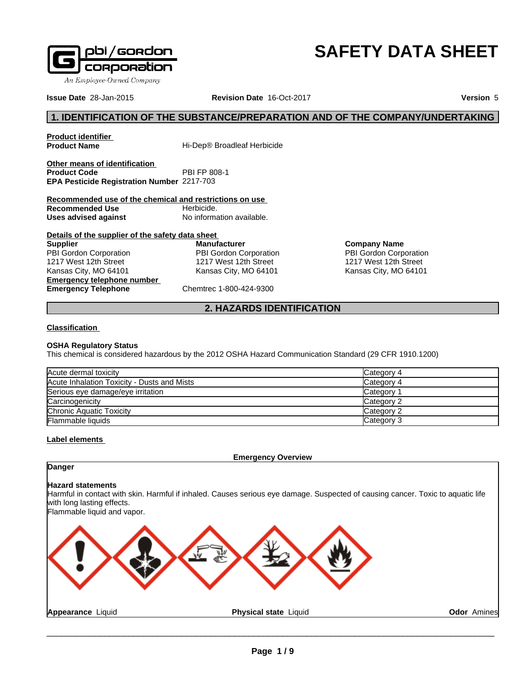

# **SAFETY DATA SHEET**

**Issue Date** 28-Jan-2015 **Revision Date** 16-Oct-2017 **Version** 5

**Odor** Amines

# **1. IDENTIFICATION OF THE SUBSTANCE/PREPARATION AND OF THE COMPANY/UNDERTAKING**

**Product identifier**

**Hi-Dep® Broadleaf Herbicide** 

**Other means of identification**<br>**Product Code** PBI FP 808-1 **Product Code EPA Pesticide Registration Number** 2217-703

**Recommended use of the chemical and restrictions on use Recommended Use** Herbicide. **Uses advised against** No information available.

**Details of the supplier of the safety data sheet Emergency telephone number Emergency Telephone** Chemtrec 1-800-424-9300 **Supplier** PBI Gordon Corporation 1217 West 12th Street Kansas City, MO 64101

**Manufacturer** PBI Gordon Corporation 1217 West 12th Street Kansas City, MO 64101

**Company Name** PBI Gordon Corporation 1217 West 12th Street Kansas City, MO 64101

# **2. HAZARDS IDENTIFICATION**

# **Classification**

# **OSHA Regulatory Status**

This chemical is considered hazardous by the 2012 OSHA Hazard Communication Standard (29 CFR 1910.1200)

| Acute dermal toxicity                       | Category 4 |
|---------------------------------------------|------------|
| Acute Inhalation Toxicity - Dusts and Mists | Category 4 |
| Serious eye damage/eye irritation           | Category   |
| Carcinogenicity                             | Category 2 |
| Chronic Aquatic Toxicity                    | Category 2 |
| <b>Flammable liquids</b>                    | Category 3 |

# **Label elements**

**Emergency Overview**

# **Danger**

# **Hazard statements**

Harmful in contact with skin. Harmful if inhaled. Causes serious eye damage. Suspected of causing cancer. Toxic to aquatic life with long lasting effects.

Flammable liquid and vapor.

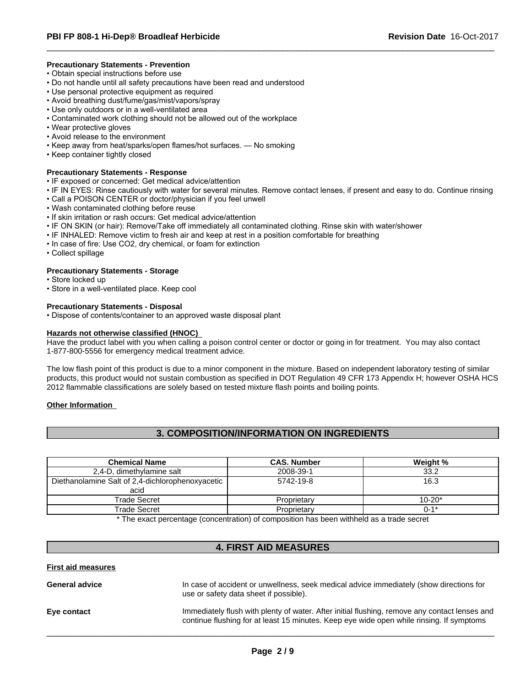# **Precautionary Statements - Prevention**

- Obtain special instructions before use
- Do not handle until all safety precautions have been read and understood
- Use personal protective equipment as required
- Avoid breathing dust/fume/gas/mist/vapors/spray
- Use only outdoors or in a well-ventilated area
- Contaminated work clothing should not be allowed out of the workplace
- Wear protective gloves
- Avoid release to the environment
- Keep away from heat/sparks/open flames/hot surfaces. No smoking
- Keep container tightly closed

#### **Precautionary Statements - Response**

- IF exposed or concerned: Get medical advice/attention
- IF IN EYES: Rinse cautiously with water for several minutes. Remove contact lenses, if present and easy to do. Continue rinsing
- Call a POISON CENTER or doctor/physician if you feel unwell
- Wash contaminated clothing before reuse
- If skin irritation or rash occurs: Get medical advice/attention
- IF ON SKIN (or hair): Remove/Take off immediately all contaminated clothing. Rinse skin with water/shower
- IF INHALED: Remove victim to fresh air and keep at rest in a position comfortable for breathing
- In case of fire: Use CO2, dry chemical, or foam for extinction
- Collect spillage

# **Precautionary Statements - Storage**

- Store locked up
- Store in a well-ventilated place. Keep cool

#### **Precautionary Statements - Disposal**

• Dispose of contents/container to an approved waste disposal plant

#### **Hazards not otherwise classified (HNOC)**

Have the product label with you when calling a poison control center or doctor or going in for treatment. You may also contact 1-877-800-5556 for emergency medical treatment advice.

The low flash point of this product is due to a minor component in the mixture. Based on independent laboratory testing of similar products, this product would not sustain combustion as specified in DOT Regulation 49 CFR 173 Appendix H; however OSHA HCS 2012 flammable classifications are solely based on tested mixture flash points and boiling points.

# **Other Information**

# **3. COMPOSITION/INFORMATION ON INGREDIENTS**

| <b>Chemical Name</b>                                     | <b>CAS. Number</b> | Weight %   |
|----------------------------------------------------------|--------------------|------------|
| 2,4-D, dimethylamine salt                                | 2008-39-1          | 33.2       |
| Diethanolamine Salt of 2,4-dichlorophenoxyacetic<br>acid | 5742-19-8          | 16.3       |
| Trade Secret                                             | Proprietary        | $10 - 20*$ |
| Trade Secret                                             | Proprietarv        | $0 - 1*$   |
| $\sim$ $\sim$ $\sim$                                     | .<br>.             |            |

\* The exact percentage (concentration) of composition has been withheld as a trade secret

# **4. FIRST AID MEASURES**

#### **First aid measures**

| <b>General advice</b> | In case of accident or unwellness, seek medical advice immediately (show directions for<br>use or safety data sheet if possible).                                                         |
|-----------------------|-------------------------------------------------------------------------------------------------------------------------------------------------------------------------------------------|
| Eye contact           | Immediately flush with plenty of water. After initial flushing, remove any contact lenses and<br>continue flushing for at least 15 minutes. Keep eye wide open while rinsing. If symptoms |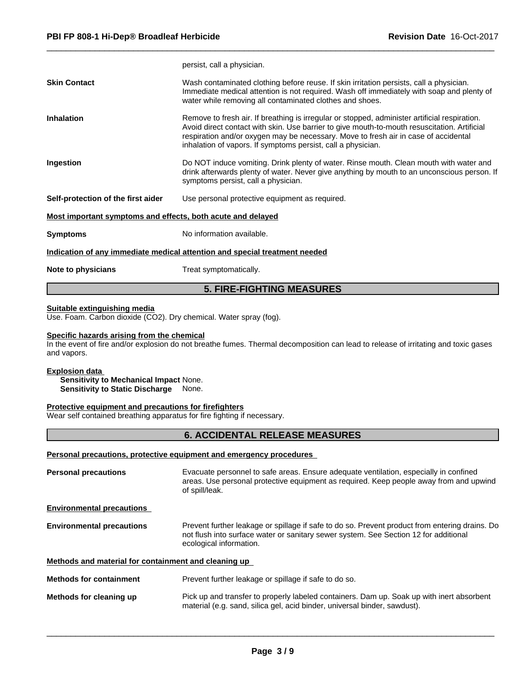|                                                             | <b>5. FIRE-FIGHTING MEASURES</b>                                                                                                                                                                                                                                                                                                                     |
|-------------------------------------------------------------|------------------------------------------------------------------------------------------------------------------------------------------------------------------------------------------------------------------------------------------------------------------------------------------------------------------------------------------------------|
| Note to physicians                                          | Treat symptomatically.                                                                                                                                                                                                                                                                                                                               |
|                                                             | Indication of any immediate medical attention and special treatment needed                                                                                                                                                                                                                                                                           |
| <b>Symptoms</b>                                             | No information available.                                                                                                                                                                                                                                                                                                                            |
| Most important symptoms and effects, both acute and delayed |                                                                                                                                                                                                                                                                                                                                                      |
| Self-protection of the first aider                          | Use personal protective equipment as required.                                                                                                                                                                                                                                                                                                       |
| Ingestion                                                   | Do NOT induce vomiting. Drink plenty of water. Rinse mouth. Clean mouth with water and<br>drink afterwards plenty of water. Never give anything by mouth to an unconscious person. If<br>symptoms persist, call a physician.                                                                                                                         |
| <b>Inhalation</b>                                           | Remove to fresh air. If breathing is irregular or stopped, administer artificial respiration.<br>Avoid direct contact with skin. Use barrier to give mouth-to-mouth resuscitation. Artificial<br>respiration and/or oxygen may be necessary. Move to fresh air in case of accidental<br>inhalation of vapors. If symptoms persist, call a physician. |
| <b>Skin Contact</b>                                         | Wash contaminated clothing before reuse. If skin irritation persists, call a physician.<br>Immediate medical attention is not required. Wash off immediately with soap and plenty of<br>water while removing all contaminated clothes and shoes.                                                                                                     |
|                                                             | persist, call a physician.                                                                                                                                                                                                                                                                                                                           |

#### **Suitable extinguishing media**

Use. Foam. Carbon dioxide (CO2). Dry chemical. Water spray (fog).

#### **Specific hazards arising from the chemical**

In the event of fire and/or explosion do not breathe fumes. Thermal decomposition can lead to release of irritating and toxic gases and vapors.

# **Explosion data**

**Sensitivity to Mechanical Impact** None. **Sensitivity to Static Discharge** None.

# **Protective equipment and precautions for firefighters**

Wear self contained breathing apparatus for fire fighting if necessary.

# **6. ACCIDENTAL RELEASE MEASURES**

# **Personal precautions, protective equipment and emergency procedures**

| <b>Personal precautions</b>                          | Evacuate personnel to safe areas. Ensure adequate ventilation, especially in confined<br>areas. Use personal protective equipment as required. Keep people away from and upwind<br>of spill/leak.                 |
|------------------------------------------------------|-------------------------------------------------------------------------------------------------------------------------------------------------------------------------------------------------------------------|
| <b>Environmental precautions</b>                     |                                                                                                                                                                                                                   |
| <b>Environmental precautions</b>                     | Prevent further leakage or spillage if safe to do so. Prevent product from entering drains. Do<br>not flush into surface water or sanitary sewer system. See Section 12 for additional<br>ecological information. |
| Methods and material for containment and cleaning up |                                                                                                                                                                                                                   |
| <b>Methods for containment</b>                       | Prevent further leakage or spillage if safe to do so.                                                                                                                                                             |
| Methods for cleaning up                              | Pick up and transfer to properly labeled containers. Dam up. Soak up with inert absorbent<br>material (e.g. sand, silica gel, acid binder, universal binder, sawdust).                                            |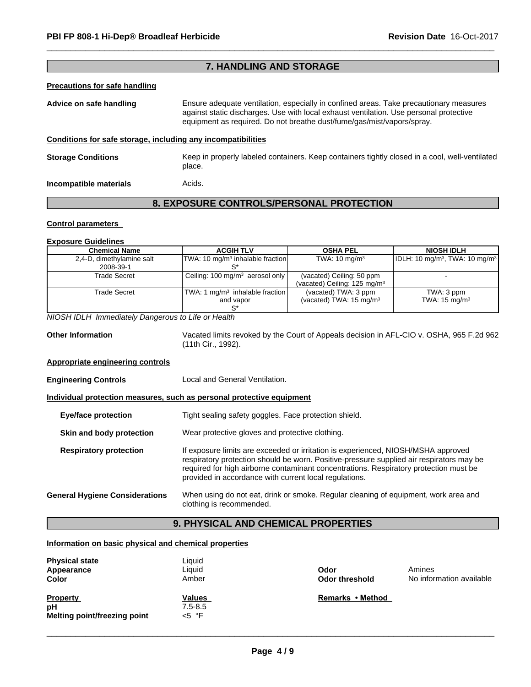# **7. HANDLING AND STORAGE**

# **Precautions for safe handling**

**Advice on safe handling** Ensure adequate ventilation, especially in confined areas. Take precautionary measures against static discharges. Use with local exhaust ventilation. Use personal protective equipment as required. Do not breathe dust/fume/gas/mist/vapors/spray. **Conditions for safe storage, including any incompatibilities**

**Storage Conditions** Keep in properly labeled containers. Keep containers tightly closed in a cool, well-ventilated place. **Incompatible materials Acids.** 

# **8. EXPOSURE CONTROLS/PERSONAL PROTECTION**

# **Control parameters**

#### **Exposure Guidelines**

| <b>Chemical Name</b>                   | <b>ACGIH TLV</b>                               | <b>OSHA PEL</b>                                                       | <b>NIOSH IDLH</b>                      |
|----------------------------------------|------------------------------------------------|-----------------------------------------------------------------------|----------------------------------------|
| 2,4-D, dimethylamine salt<br>2008-39-1 | $ TWA: 10 mg/m3$ inhalable fraction            | TWA: $10 \text{ mg/m}^3$                                              | $ IDLH: 10 mg/m3, TWA: 10 mg/m3 $      |
| <b>Trade Secret</b>                    | Ceiling: 100 mg/m <sup>3</sup> aerosol only    | (vacated) Ceiling: 50 ppm<br>(vacated) Ceiling: 125 mg/m <sup>3</sup> |                                        |
| <b>Trade Secret</b>                    | TWA: 1 $mq/m3$ inhalable fraction<br>and vapor | (vacated) TWA: 3 ppm<br>(vacated) TWA: $15 \text{ mg/m}^3$            | TWA: 3 ppm<br>TWA: $15 \text{ mg/m}^3$ |

*NIOSH IDLH Immediately Dangerous to Life or Health*

**Other Information** Vacated limits revoked by the Court of Appeals decision in AFL-CIO v.OSHA, 965 F.2d 962 (11th Cir., 1992).

# **Appropriate engineering controls**

**Engineering Controls Local and General Ventilation.** 

#### **Individual protection measures, such as personal protective equipment**

| <b>Eye/face protection</b>            | Tight sealing safety goggles. Face protection shield.                                                                                                                                                                                                                                                                            |
|---------------------------------------|----------------------------------------------------------------------------------------------------------------------------------------------------------------------------------------------------------------------------------------------------------------------------------------------------------------------------------|
| Skin and body protection              | Wear protective gloves and protective clothing.                                                                                                                                                                                                                                                                                  |
| <b>Respiratory protection</b>         | If exposure limits are exceeded or irritation is experienced, NIOSH/MSHA approved<br>respiratory protection should be worn. Positive-pressure supplied air respirators may be<br>required for high airborne contaminant concentrations. Respiratory protection must be<br>provided in accordance with current local regulations. |
| <b>General Hygiene Considerations</b> | When using do not eat, drink or smoke. Regular cleaning of equipment, work area and<br>clothing is recommended.                                                                                                                                                                                                                  |

# **9. PHYSICAL AND CHEMICAL PROPERTIES**

# **Information on basic physical and chemical properties**

| <b>Physical state</b><br>Appearance<br>Color          | Liquid<br>Liquid<br>Amber  | Odor<br><b>Odor threshold</b> | Amines<br>No information available |
|-------------------------------------------------------|----------------------------|-------------------------------|------------------------------------|
| <b>Property</b><br>рH<br>Melting point/freezing point | Values<br>7.5-8.5<br><5 °F | Remarks • Method              |                                    |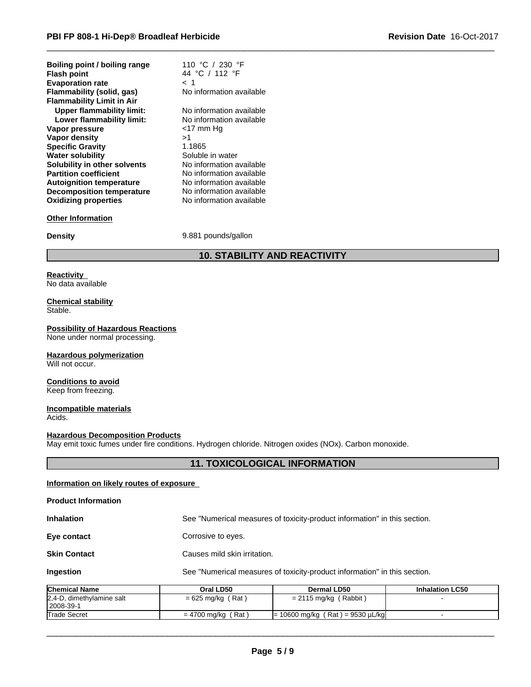| Boiling point / boiling range    | 110 °C / 230 °F          |
|----------------------------------|--------------------------|
| <b>Flash point</b>               | 44 °C / 112 °F           |
| <b>Evaporation rate</b>          | < 1                      |
| Flammability (solid, gas)        | No information available |
| <b>Flammability Limit in Air</b> |                          |
| <b>Upper flammability limit:</b> | No information available |
| Lower flammability limit:        | No information available |
| Vapor pressure                   | <17 mm Hq                |
| Vapor density                    | >1                       |
| <b>Specific Gravity</b>          | 1.1865                   |
| <b>Water solubility</b>          | Soluble in water         |
| Solubility in other solvents     | No information available |
| <b>Partition coefficient</b>     | No information available |
| <b>Autoignition temperature</b>  | No information available |
| <b>Decomposition temperature</b> | No information available |
| <b>Oxidizing properties</b>      | No information available |

#### **Other Information**

**Density** 9.881 pounds/gallon

# **10. STABILITY AND REACTIVITY**

#### **Reactivity** No data available

#### **Chemical stability** Stable.

# **Possibility of Hazardous Reactions**

None under normal processing.

# **Hazardous polymerization**

Will not occur.

#### **Conditions to avoid** Keep from freezing.

# **Incompatible materials**

Acids.

# **Hazardous Decomposition Products**

May emit toxic fumes under fire conditions. Hydrogen chloride. Nitrogen oxides (NOx). Carbon monoxide.

# **11. TOXICOLOGICAL INFORMATION**

# **Information on likely routes of exposure**

# **Product Information**

**Inhalation** See "Numerical measures of toxicity-product information" in this section.

**Eye contact** Corrosive to eyes.

**Skin Contact** Causes mild skin irritation.

**Ingestion** See "Numerical measures of toxicity-product information" in this section.

| <b>Chemical Name</b>                     | Oral LD50            | Dermal LD50                             | <b>Inhalation LC50</b> |
|------------------------------------------|----------------------|-----------------------------------------|------------------------|
| 2,4-D, dimethylamine salt<br>  2008-39-1 | $= 625$ mg/kg (Rat)  | Rabbit<br>$= 2115 \text{ mg/kg}$        |                        |
| <b>Trade Secret</b>                      | $= 4700$ mg/kg (Rat) | $= 10600$ mg/kg (Rat) = 9530 $\mu$ L/kg |                        |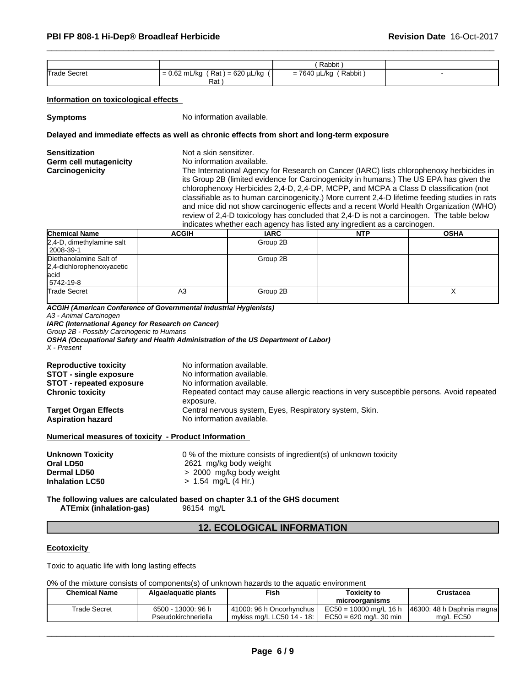|                     |                                                     | Rabbit                 |  |
|---------------------|-----------------------------------------------------|------------------------|--|
| <b>Trade Secret</b> | $(Rat) = 620 \mu L/kg$<br>$I = 0.62$ mL/kg $\prime$ | Rabbit<br>= 7640 µL/kg |  |
|                     | Rat                                                 |                        |  |

# **Information on toxicological effects**

**Symptoms** No information available.

# **Delayed and immediate effects as well as chronic effects from short and long-term exposure**

| <b>Sensitization</b><br><b>Germ cell mutagenicity</b><br>Carcinogenicity  | Not a skin sensitizer.<br>No information available. | its Group 2B (limited evidence for Carcinogenicity in humans.) The US EPA has given the<br>chlorophenoxy Herbicides 2,4-D, 2,4-DP, MCPP, and MCPA a Class D classification (not<br>review of 2,4-D toxicology has concluded that 2,4-D is not a carcinogen. The table below<br>indicates whether each agency has listed any ingredient as a carcinogen. |            | The International Agency for Research on Cancer (IARC) lists chlorophenoxy herbicides in<br>classifiable as to human carcinogenicity.) More current 2,4-D lifetime feeding studies in rats<br>and mice did not show carcinogenic effects and a recent World Health Organization (WHO) |
|---------------------------------------------------------------------------|-----------------------------------------------------|---------------------------------------------------------------------------------------------------------------------------------------------------------------------------------------------------------------------------------------------------------------------------------------------------------------------------------------------------------|------------|---------------------------------------------------------------------------------------------------------------------------------------------------------------------------------------------------------------------------------------------------------------------------------------|
| <b>Chemical Name</b>                                                      | <b>ACGIH</b>                                        | <b>IARC</b>                                                                                                                                                                                                                                                                                                                                             | <b>NTP</b> | <b>OSHA</b>                                                                                                                                                                                                                                                                           |
| 2,4-D, dimethylamine salt<br>2008-39-1                                    |                                                     | Group 2B                                                                                                                                                                                                                                                                                                                                                |            |                                                                                                                                                                                                                                                                                       |
| Diethanolamine Salt of<br>2,4-dichlorophenoxyacetic<br>lacid<br>5742-19-8 |                                                     | Group 2B                                                                                                                                                                                                                                                                                                                                                |            |                                                                                                                                                                                                                                                                                       |
| Trade Secret                                                              | A <sub>3</sub>                                      | Group 2B                                                                                                                                                                                                                                                                                                                                                |            | X                                                                                                                                                                                                                                                                                     |

*A3 - Animal Carcinogen IARC (International Agency for Research on Cancer)*

*Group 2B - Possibly Carcinogenic to Humans*

*OSHA (Occupational Safety and Health Administration of the US Department of Labor)*

*X - Present*

| exposure.<br>Central nervous system, Eyes, Respiratory system, Skin. | <b>Reproductive toxicity</b><br><b>STOT - single exposure</b><br><b>STOT - repeated exposure</b> | No information available.<br>No information available.<br>No information available.                                    |
|----------------------------------------------------------------------|--------------------------------------------------------------------------------------------------|------------------------------------------------------------------------------------------------------------------------|
|                                                                      | <b>Chronic toxicity</b><br><b>Target Organ Effects</b><br><b>Aspiration hazard</b>               | Repeated contact may cause allergic reactions in very susceptible persons. Avoid repeated<br>No information available. |

# **Numerical measures of toxicity - Product Information**

| Unknown Toxicity       | 0 % of the mixture consists of ingredient(s) of unknown toxicity |
|------------------------|------------------------------------------------------------------|
| Oral LD50              | 2621 mg/kg body weight                                           |
| <b>Dermal LD50</b>     | > 2000 mg/kg body weight                                         |
| <b>Inhalation LC50</b> | $> 1.54$ mg/L (4 Hr.)                                            |
|                        |                                                                  |

**The following values are calculated based on chapter 3.1 of the GHS document ATEmix (inhalation-gas)** 96154 mg/L

# **12. ECOLOGICAL INFORMATION**

# **Ecotoxicity**

Toxic to aquatic life with long lasting effects

0% of the mixture consists of components(s) of unknown hazards to the aquatic environment

| <b>Chemical Name</b> | Algae/aguatic plants | <b>Fish</b><br>Toxicitv to |                          | Crustacea                 |
|----------------------|----------------------|----------------------------|--------------------------|---------------------------|
|                      |                      |                            | microorganisms           |                           |
| Trade Secret         | 6500 - 13000: 96 h   | 41000: 96 h Oncorhynchus   | $EC50 = 10000$ mg/L 16 h | 46300: 48 h Daphnia magna |
|                      | Pseudokirchneriella  | mykiss ma/L LC50 14 - 18:  | $EC50 = 620$ ma/L 30 min | ma/L EC50                 |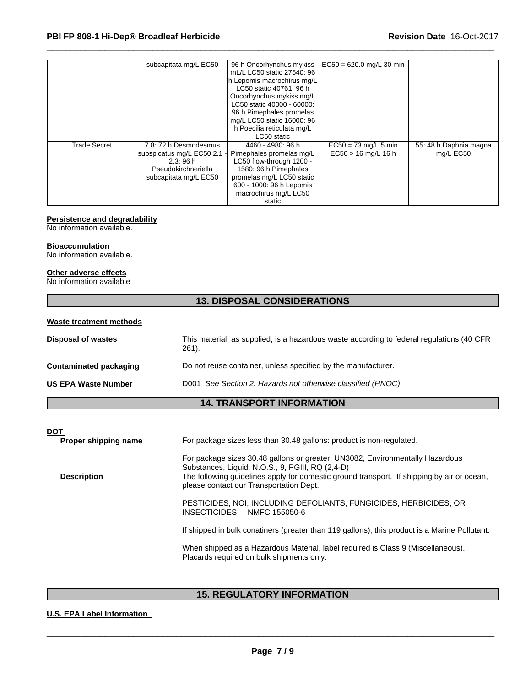|                     | subcapitata mg/L EC50       | 96 h Oncorhynchus mykiss    | $EC50 = 620.0$ mg/L 30 min |                        |  |
|---------------------|-----------------------------|-----------------------------|----------------------------|------------------------|--|
|                     |                             | mL/L LC50 static 27540: 96  |                            |                        |  |
|                     |                             | Ih Lepomis macrochirus mg/L |                            |                        |  |
|                     |                             | LC50 static 40761: 96 h     |                            |                        |  |
|                     |                             | Oncorhynchus mykiss mg/L    |                            |                        |  |
|                     |                             | LC50 static 40000 - 60000:  |                            |                        |  |
|                     |                             | 96 h Pimephales promelas    |                            |                        |  |
|                     |                             | mg/L LC50 static 16000: 96  |                            |                        |  |
|                     |                             | h Poecilia reticulata mg/L  |                            |                        |  |
|                     |                             | LC50 static                 |                            |                        |  |
| <b>Trade Secret</b> | 7.8: 72 h Desmodesmus       | 4460 - 4980: 96 h           | $EC50 = 73$ mg/L 5 min     | 55: 48 h Daphnia magna |  |
|                     | subspicatus mg/L EC50 2.1 - | Pimephales promelas mg/L    | $EC50 > 16$ mg/L 16 h      | mg/L EC50              |  |
|                     | 2.3:96h                     | LC50 flow-through 1200 -    |                            |                        |  |
|                     | Pseudokirchneriella         | 1580: 96 h Pimephales       |                            |                        |  |
|                     | subcapitata mg/L EC50       | promelas mg/L LC50 static   |                            |                        |  |
|                     |                             | 600 - 1000: 96 h Lepomis    |                            |                        |  |
|                     |                             | macrochirus mg/L LC50       |                            |                        |  |
|                     |                             | static                      |                            |                        |  |

# **Persistence and degradability**

No information available.

#### **Bioaccumulation**

No information available.

#### **Other adverse effects**

No information available

# **13. DISPOSAL CONSIDERATIONS**

| This material, as supplied, is a hazardous waste according to federal regulations (40 CFR<br>$261$ . |
|------------------------------------------------------------------------------------------------------|
| Do not reuse container, unless specified by the manufacturer.                                        |
| D001 See Section 2: Hazards not otherwise classified (HNOC)                                          |
|                                                                                                      |

# **14. TRANSPORT INFORMATION**

| <b>DOT</b> | Proper shipping name | For package sizes less than 30.48 gallons: product is non-regulated.                                                                                                                                                                                                       |
|------------|----------------------|----------------------------------------------------------------------------------------------------------------------------------------------------------------------------------------------------------------------------------------------------------------------------|
|            | <b>Description</b>   | For package sizes 30.48 gallons or greater: UN3082, Environmentally Hazardous<br>Substances, Liquid, N.O.S., 9, PGIII, RQ (2,4-D)<br>The following guidelines apply for domestic ground transport. If shipping by air or ocean,<br>please contact our Transportation Dept. |
|            |                      | PESTICIDES, NOI, INCLUDING DEFOLIANTS, FUNGICIDES, HERBICIDES, OR<br><b>INSECTICIDES</b><br>NMFC 155050-6                                                                                                                                                                  |
|            |                      | If shipped in bulk conatiners (greater than 119 gallons), this product is a Marine Pollutant.                                                                                                                                                                              |
|            |                      | When shipped as a Hazardous Material, label required is Class 9 (Miscellaneous).<br>Placards required on bulk shipments only.                                                                                                                                              |
|            |                      |                                                                                                                                                                                                                                                                            |

# **15. REGULATORY INFORMATION**

# **U.S. EPA Label Information**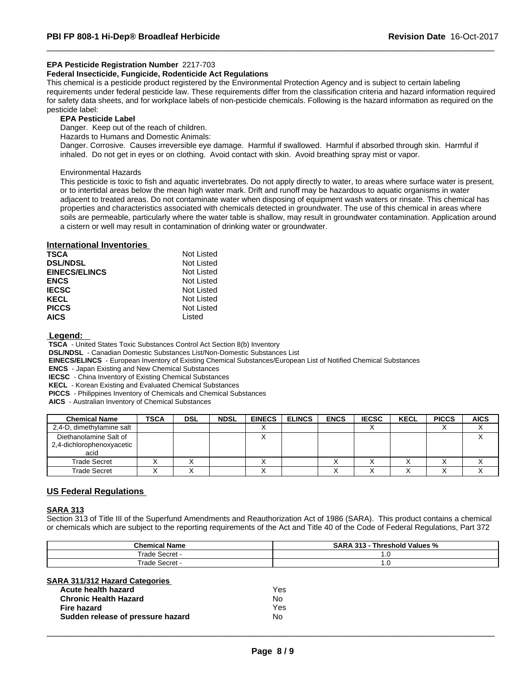# **EPA Pesticide Registration Number** 2217-703

#### **Federal Insecticide, Fungicide, Rodenticide Act Regulations**

This chemical is a pesticide product registered by the Environmental Protection Agency and is subject to certain labeling requirements under federal pesticide law. These requirements differ from the classification criteria and hazard information required for safety data sheets, and for workplace labels of non-pesticide chemicals. Following is the hazard information as required on the pesticide label:

# **EPA Pesticide Label**

Danger. Keep out of the reach of children.

Hazards to Humans and Domestic Animals:

Danger. Corrosive. Causes irreversible eye damage. Harmful if swallowed. Harmful if absorbed through skin. Harmfulif inhaled. Do not get in eyes or on clothing. Avoid contact with skin. Avoid breathing spray mist or vapor.

Environmental Hazards

This pesticide is toxic to fish and aquatic invertebrates. Do not apply directly to water, to areas where surface water is present, or to intertidal areas below the mean high water mark. Drift and runoff may be hazardous to aquatic organisms in water adjacent to treated areas. Do not contaminate water when disposing of equipment wash waters or rinsate. This chemical has properties and characteristics associated with chemicals detected in groundwater. The use of this chemical in areas where soils are permeable, particularly where the water table is shallow, may result in groundwater contamination. Application around a cistern or wellmay result in contamination of drinking water or groundwater.

#### **International Inventories**

| <b>TSCA</b>          | Not Listed |  |
|----------------------|------------|--|
| <b>DSL/NDSL</b>      | Not Listed |  |
| <b>EINECS/ELINCS</b> | Not Listed |  |
| <b>ENCS</b>          | Not Listed |  |
| <b>IECSC</b>         | Not Listed |  |
| <b>KECL</b>          | Not Listed |  |
| <b>PICCS</b>         | Not Listed |  |
| <b>AICS</b>          | Listed     |  |

#### **Legend:**

 **TSCA** - United States Toxic Substances Control Act Section 8(b) Inventory

 **DSL/NDSL** - Canadian Domestic Substances List/Non-Domestic Substances List

 **EINECS/ELINCS** - European Inventory of Existing Chemical Substances/European List of Notified Chemical Substances

 **ENCS** - Japan Existing and New Chemical Substances

 **IECSC** - China Inventory of Existing Chemical Substances

 **KECL** - Korean Existing and Evaluated Chemical Substances

 **PICCS** - Philippines Inventory of Chemicals and Chemical Substances

 **AICS** - Australian Inventory of Chemical Substances

| <b>Chemical Name</b>                                        | <b>TSCA</b> | <b>DSL</b> | <b>NDSL</b> | <b>EINECS</b>          | <b>ELINCS</b> | <b>ENCS</b> | <b>IECSC</b> | <b>KECL</b> | <b>PICCS</b> | <b>AICS</b> |
|-------------------------------------------------------------|-------------|------------|-------------|------------------------|---------------|-------------|--------------|-------------|--------------|-------------|
| 2,4-D, dimethylamine salt                                   |             |            |             | $\lambda$<br>$\lambda$ |               |             |              |             |              | $\lambda$   |
| Diethanolamine Salt of<br>2,4-dichlorophenoxyacetic<br>acid |             |            |             | $\checkmark$<br>⌒      |               |             |              |             |              |             |
| Trade Secret                                                |             |            |             | ⌒                      |               |             |              |             |              |             |
| Trade Secret                                                |             |            |             | ۰.                     |               |             |              |             |              |             |

# **US Federal Regulations**

# **SARA 313**

Section 313 of Title III of the Superfund Amendments and Reauthorization Act of 1986 (SARA). This product contains a chemical or chemicals which are subject to the reporting requirements of the Act and Title 40 of the Code of Federal Regulations, Part 372

| <b>Chemical Name</b>    | --<br><b>SARA</b><br><br>Threshold Values %<br>. |
|-------------------------|--------------------------------------------------|
| rade<br>:∆oro<br>ocu ci | $\cdot$ . $\cup$                                 |
| rade<br>√erre`<br>ᇖᇉ    | υ.,                                              |

#### **SARA 311/312 Hazard Categories**

| Acute health hazard               | Yes |
|-----------------------------------|-----|
| <b>Chronic Health Hazard</b>      | N٥  |
| Fire hazard                       | Yes |
| Sudden release of pressure hazard | N٥  |